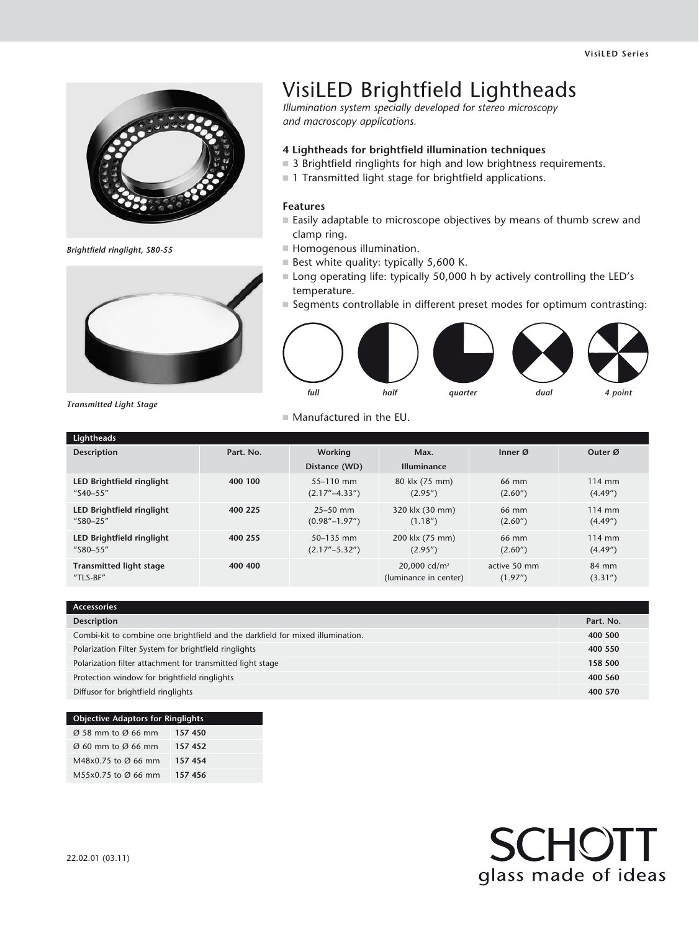

*Brightfield ringlight, S80-55*



## VisiLED Brightfield Lightheads

*Illumination system specially developed for stereo microscopy and macroscopy applications.*

## **4 Lightheads for brightfield illumination techniques**

- $\blacksquare$  3 Brightfield ringlights for high and low brightness requirements.
- $\blacksquare$  1 Transmitted light stage for brightfield applications.

## **Features**

- $\blacksquare$  Easily adaptable to microscope objectives by means of thumb screw and clamp ring.
- $\blacksquare$  Homogenous illumination.
- $\blacksquare$  Best white quality: typically 5,600 K.
- Long operating life: typically 50,000 h by actively controlling the LED's temperature.
- $\blacksquare$  Segments controllable in different preset modes for optimum contrasting:



*Transmitted Light Stage*

 $\blacksquare$  Manufactured in the EU.

| Lightheads                                             |           |                                                              |                                                   |                          |                              |
|--------------------------------------------------------|-----------|--------------------------------------------------------------|---------------------------------------------------|--------------------------|------------------------------|
| <b>Description</b>                                     | Part. No. | Working                                                      | Max.                                              | Inner $\varnothing$      | Outer Ø                      |
|                                                        |           | Distance (WD)                                                | <b>Illuminance</b>                                |                          |                              |
| LED Brightfield ringlight<br>$^{\prime\prime}$ S40-55" | 400 100   | $55 - 110$ mm<br>$(2.17^{\prime\prime}-4.33^{\prime\prime})$ | 80 klx (75 mm)<br>(2.95'')                        | 66 mm<br>(2.60'')        | $114$ mm<br>(4.49'')         |
| LED Brightfield ringlight<br>$^{\prime\prime}$ S80-25" | 400 225   | $25 - 50$ mm<br>$(0.98'' - 1.97'')$                          | 320 klx (30 mm)<br>(1.18'')                       | 66 mm<br>(2.60'')        | 114 mm<br>(4.49'')           |
| LED Brightfield ringlight<br>"S80-55"                  | 400 255   | 50-135 mm<br>$(2.17^{\prime\prime}-5.32^{\prime\prime})$     | 200 klx (75 mm)<br>(2.95'')                       | 66 mm<br>(2.60'')        | $114 \text{ mm}$<br>(4.49'') |
| <b>Transmitted light stage</b><br>"TLS-BF"             | 400 400   |                                                              | 20,000 cd/m <sup>2</sup><br>(luminance in center) | active 50 mm<br>(1.97'') | 84 mm<br>(3.31'')            |

| <b>Accessories</b>                                                             |           |
|--------------------------------------------------------------------------------|-----------|
| <b>Description</b>                                                             | Part. No. |
| Combi-kit to combine one brightfield and the darkfield for mixed illumination. | 400 500   |
| Polarization Filter System for brightfield ringlights                          | 400 550   |
| Polarization filter attachment for transmitted light stage                     | 158 500   |
| Protection window for brightfield ringlights                                   | 400 560   |
| Diffusor for brightfield ringlights                                            | 400 570   |

| <b>Objective Adaptors for Ringlights</b>   |         |  |  |  |
|--------------------------------------------|---------|--|--|--|
| $\varnothing$ 58 mm to $\varnothing$ 66 mm | 157 450 |  |  |  |
| $\varnothing$ 60 mm to $\varnothing$ 66 mm | 157452  |  |  |  |
| M48x0.75 to Ø 66 mm                        | 157 454 |  |  |  |
| M55x0.75 to Ø 66 mm                        | 157 456 |  |  |  |